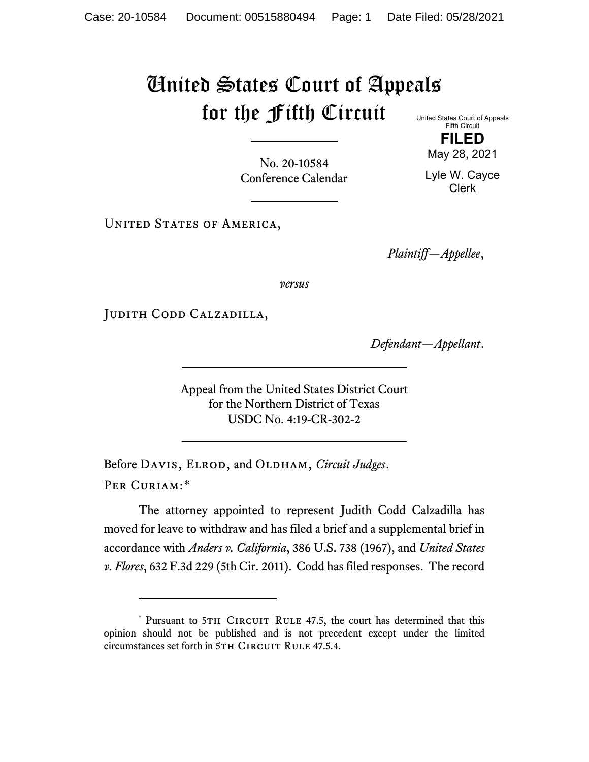## United States Court of Appeals for the Fifth Circuit United States Court of Appeals

Fifth Circuit **FILED** May 28, 2021

No. 20-10584 Conference Calendar

Lyle W. Cayce Clerk

UNITED STATES OF AMERICA,

*Plaintiff—Appellee*,

*versus*

Judith Codd Calzadilla,

*Defendant—Appellant*.

Appeal from the United States District Court for the Northern District of Texas USDC No. 4:19-CR-302-2

Before DAVIS, ELROD, and OLDHAM, *Circuit Judges*. Per Curiam:[\\*](#page-0-0)

<span id="page-0-1"></span>The attorney appointed to represent Judith Codd Calzadilla has moved for leave to withdraw and has filed a brief and a supplemental brief in accordance with *Anders v. California*, 386 U.S. 738 (1967), and *United States v. Flores*, 632 F.3d 229 (5th Cir. 2011). Codd has filed responses. The record

<span id="page-0-0"></span><sup>\*</sup> Pursuant to 5TH CIRCUIT RULE 47.5, the court has determined that this opinion should not be published and is not precedent except under the limited circumstances set forth in 5TH CIRCUIT RULE 47.5.4.